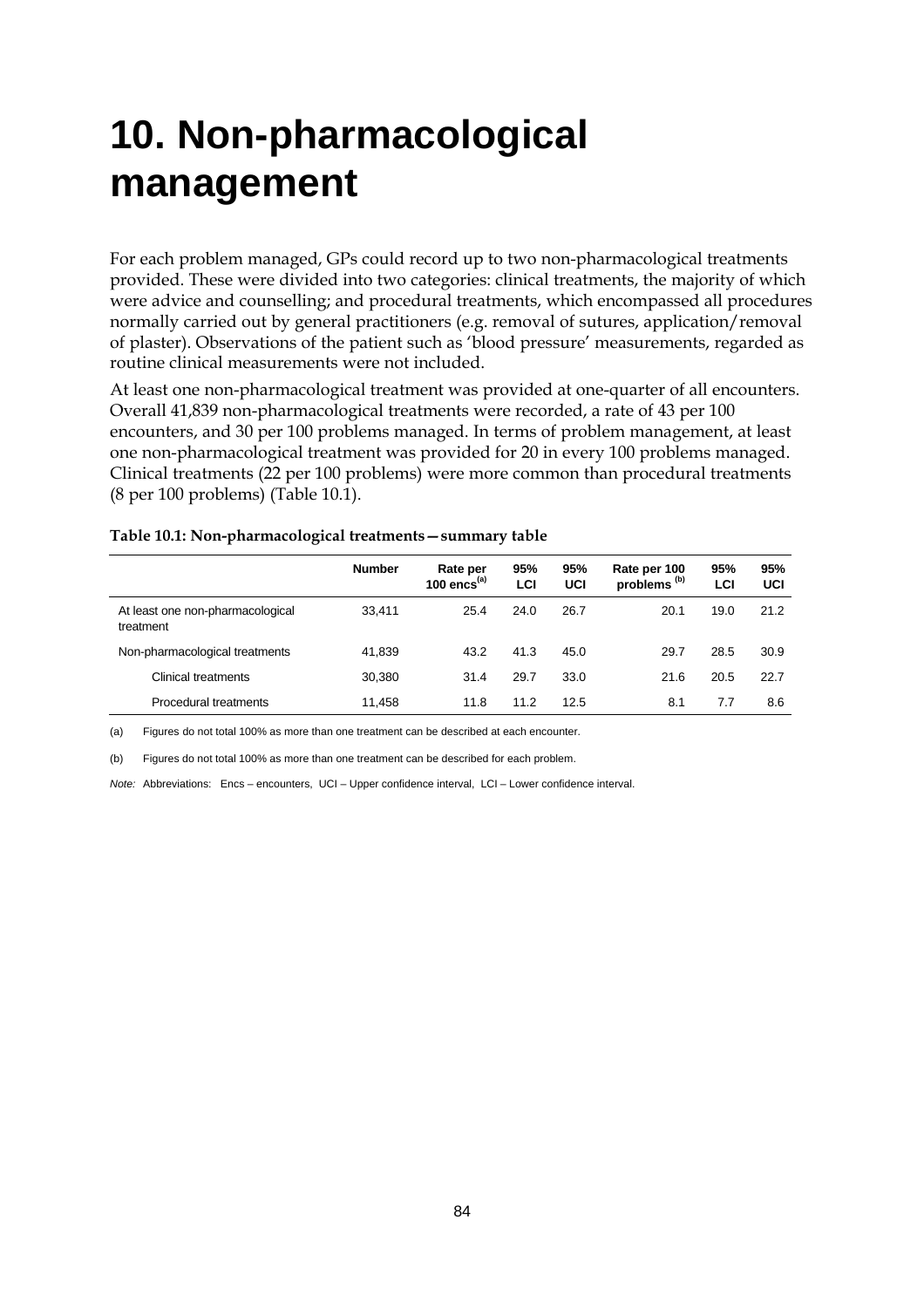# **10. Non-pharmacological management**

For each problem managed, GPs could record up to two non-pharmacological treatments provided. These were divided into two categories: clinical treatments, the majority of which were advice and counselling; and procedural treatments, which encompassed all procedures normally carried out by general practitioners (e.g. removal of sutures, application/removal of plaster). Observations of the patient such as 'blood pressure' measurements, regarded as routine clinical measurements were not included.

At least one non-pharmacological treatment was provided at one-quarter of all encounters. Overall 41,839 non-pharmacological treatments were recorded, a rate of 43 per 100 encounters, and 30 per 100 problems managed. In terms of problem management, at least one non-pharmacological treatment was provided for 20 in every 100 problems managed. Clinical treatments (22 per 100 problems) were more common than procedural treatments (8 per 100 problems) (Table 10.1).

| Table 10.1: Non-pharmacological treatments - summary table |  |
|------------------------------------------------------------|--|
|------------------------------------------------------------|--|

|                                               | <b>Number</b> | Rate per<br>100 $encs^{(a)}$ | 95%<br>LCI | 95%<br><b>UCI</b> | Rate per 100<br>problems <sup>(b)</sup> | 95%<br>LCI | 95%<br>UCI |
|-----------------------------------------------|---------------|------------------------------|------------|-------------------|-----------------------------------------|------------|------------|
| At least one non-pharmacological<br>treatment | 33.411        | 25.4                         | 24.0       | 26.7              | 20.1                                    | 19.0       | 21.2       |
| Non-pharmacological treatments                | 41,839        | 43.2                         | 41.3       | 45.0              | 29.7                                    | 28.5       | 30.9       |
| Clinical treatments                           | 30,380        | 31.4                         | 29.7       | 33.0              | 21.6                                    | 20.5       | 22.7       |
| Procedural treatments                         | 11,458        | 11.8                         | 11.2       | 12.5              | 8.1                                     | 7.7        | 8.6        |
|                                               |               |                              |            |                   |                                         |            |            |

(a) Figures do not total 100% as more than one treatment can be described at each encounter.

(b) Figures do not total 100% as more than one treatment can be described for each problem.

*Note:* Abbreviations: Encs – encounters, UCI – Upper confidence interval, LCI – Lower confidence interval.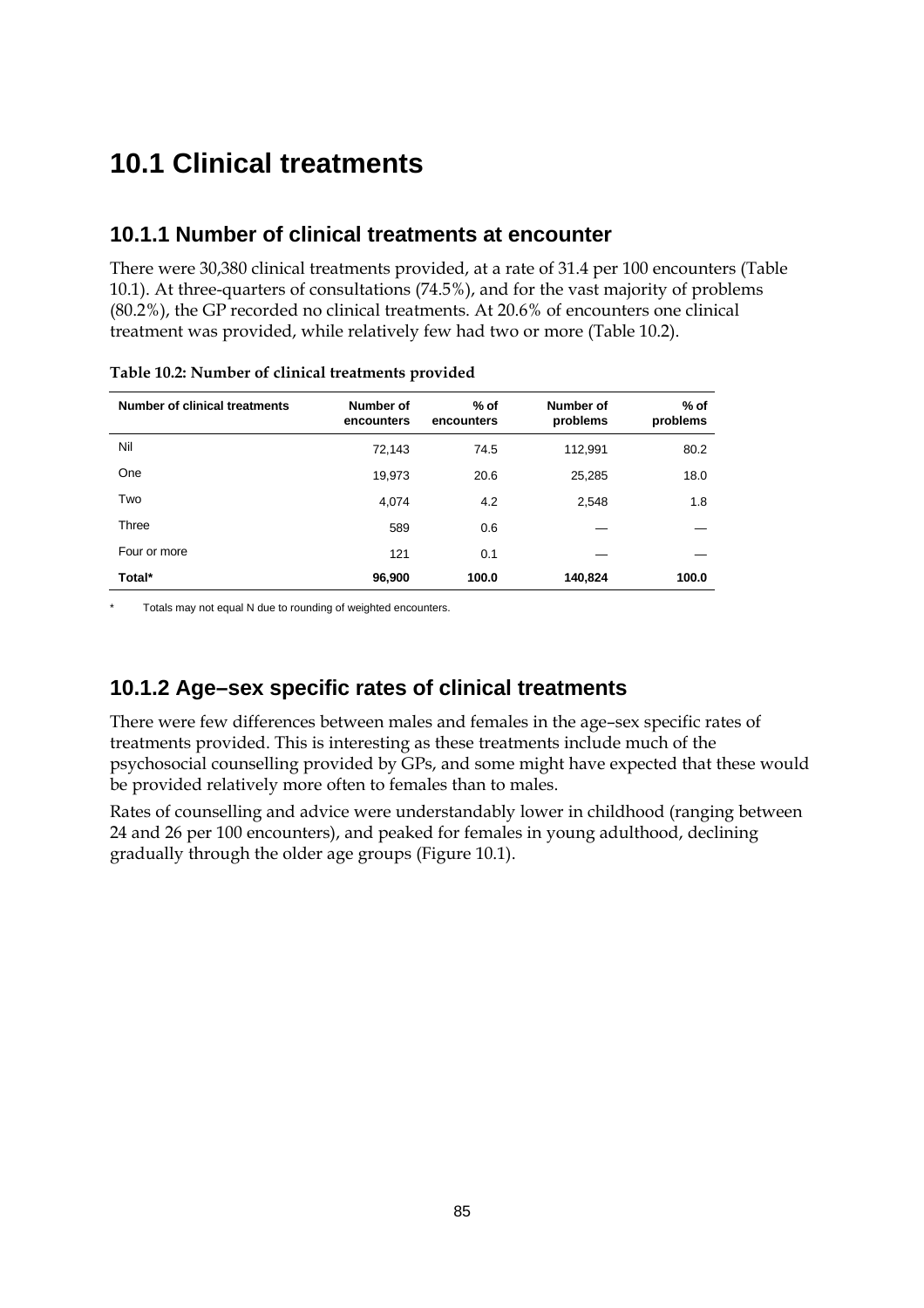## **10.1 Clinical treatments**

### **10.1.1 Number of clinical treatments at encounter**

There were 30,380 clinical treatments provided, at a rate of 31.4 per 100 encounters (Table 10.1). At three-quarters of consultations (74.5%), and for the vast majority of problems (80.2%), the GP recorded no clinical treatments. At 20.6% of encounters one clinical treatment was provided, while relatively few had two or more (Table 10.2).

| Number of clinical treatments | Number of<br>encounters | $%$ of<br>encounters | Number of<br>problems | $%$ of<br>problems |
|-------------------------------|-------------------------|----------------------|-----------------------|--------------------|
| Nil                           | 72,143                  | 74.5                 | 112,991               | 80.2               |
| One                           | 19,973                  | 20.6                 | 25,285                | 18.0               |
| Two                           | 4,074                   | 4.2                  | 2,548                 | 1.8                |
| Three                         | 589                     | 0.6                  |                       |                    |
| Four or more                  | 121                     | 0.1                  |                       |                    |
| Total*                        | 96,900                  | 100.0                | 140,824               | 100.0              |

**Table 10.2: Number of clinical treatments provided**

Totals may not equal N due to rounding of weighted encounters.

## **10.1.2 Age–sex specific rates of clinical treatments**

There were few differences between males and females in the age–sex specific rates of treatments provided. This is interesting as these treatments include much of the psychosocial counselling provided by GPs, and some might have expected that these would be provided relatively more often to females than to males.

Rates of counselling and advice were understandably lower in childhood (ranging between 24 and 26 per 100 encounters), and peaked for females in young adulthood, declining gradually through the older age groups (Figure 10.1).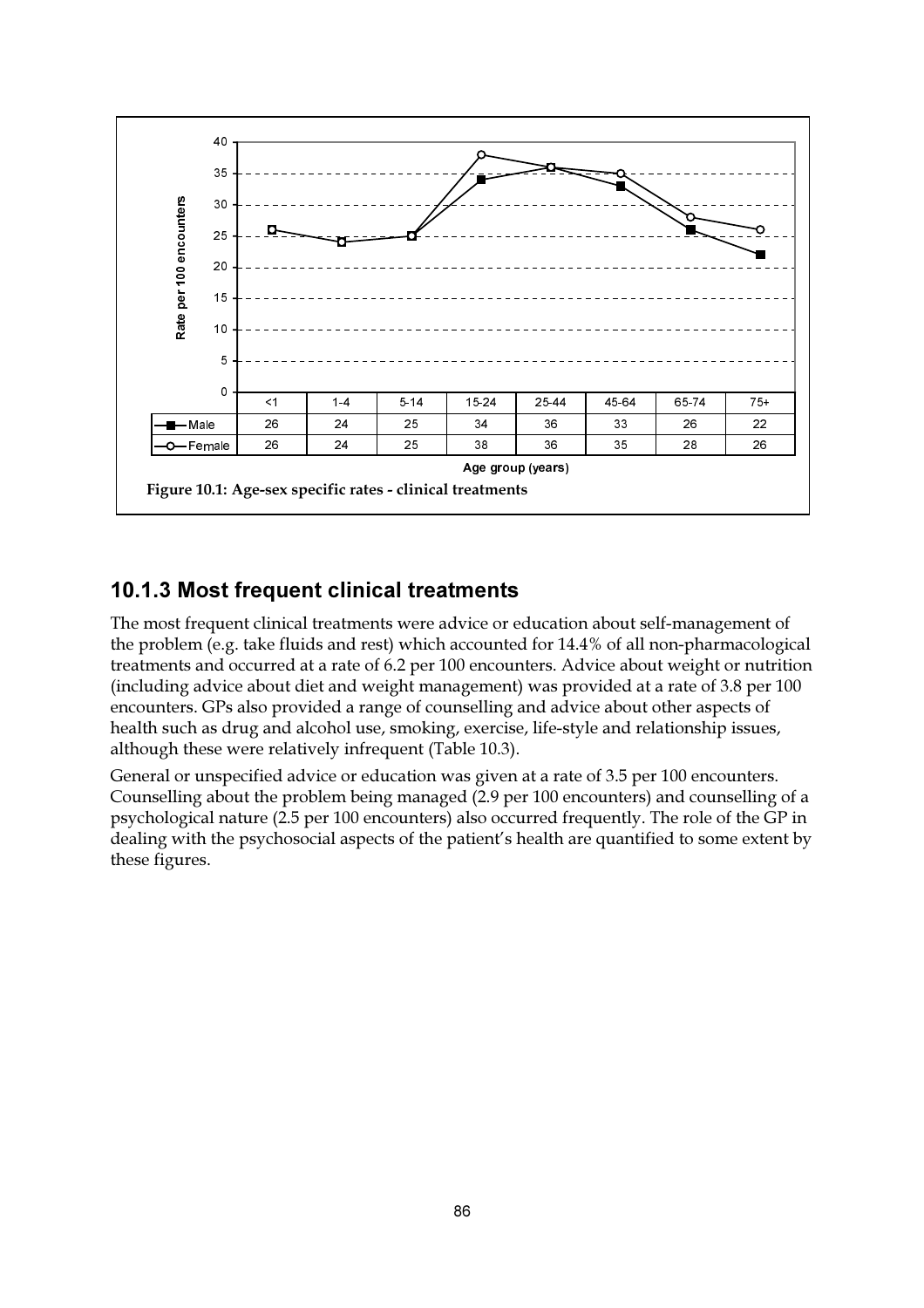

## 10.1.3 Most frequent clinical treatments

The most frequent clinical treatments were advice or education about self-management of the problem (e.g. take fluids and rest) which accounted for 14.4% of all non-pharmacological treatments and occurred at a rate of 6.2 per 100 encounters. Advice about weight or nutrition (including advice about diet and weight management) was provided at a rate of 3.8 per 100 encounters. GPs also provided a range of counselling and advice about other aspects of health such as drug and alcohol use, smoking, exercise, life-style and relationship issues, although these were relatively infrequent (Table 10.3).

General or unspecified advice or education was given at a rate of 3.5 per 100 encounters. Counselling about the problem being managed (2.9 per 100 encounters) and counselling of a psychological nature (2.5 per 100 encounters) also occurred frequently. The role of the GP in dealing with the psychosocial aspects of the patient's health are quantified to some extent by these figures.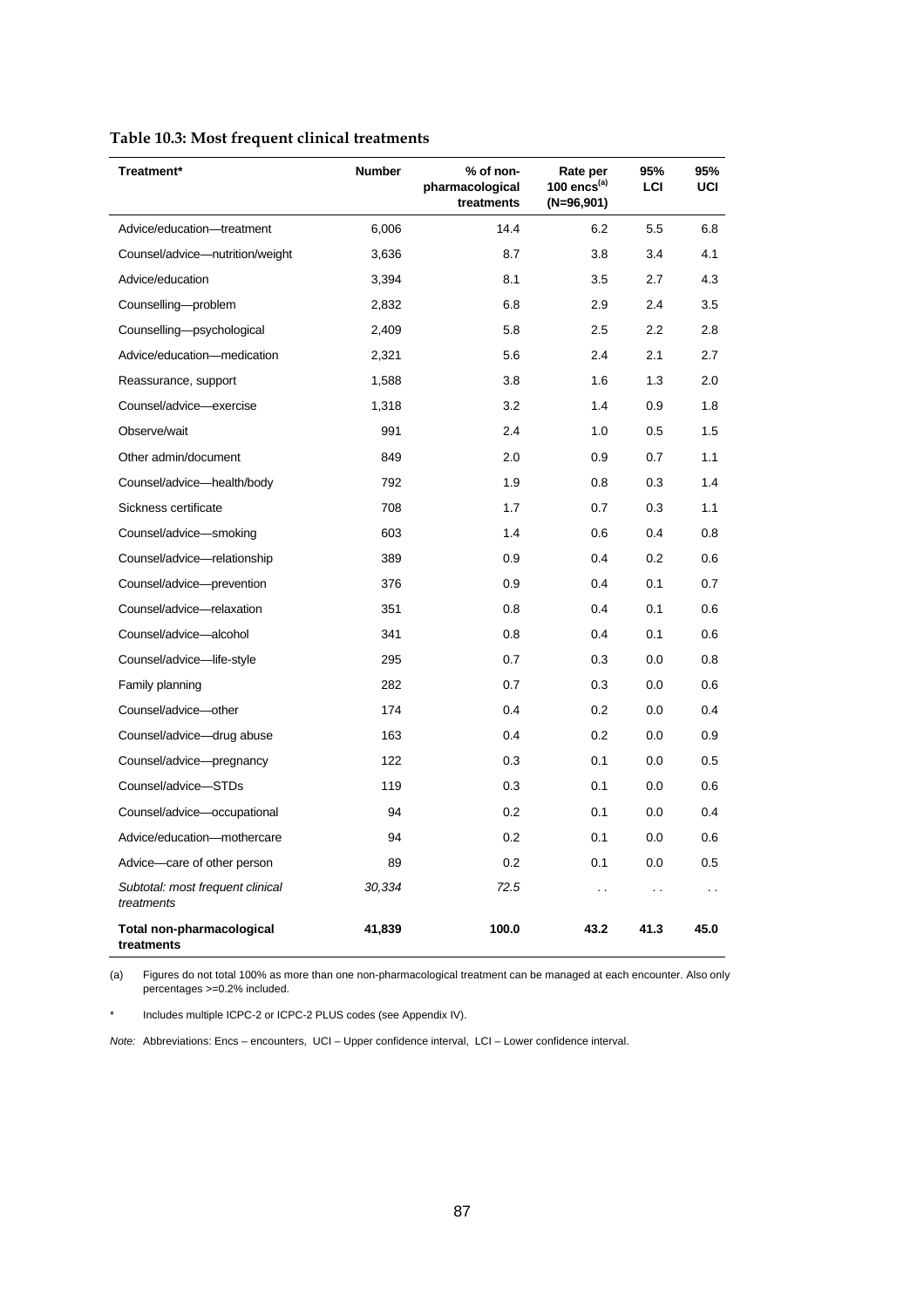| Treatment*                                     | <b>Number</b> | % of non-<br>pharmacological<br>treatments | Rate per<br>100 encs $(a)$<br>$(N=96,901)$ | 95%<br>LCI           | 95%<br>UCI |
|------------------------------------------------|---------------|--------------------------------------------|--------------------------------------------|----------------------|------------|
| Advice/education-treatment                     | 6,006         | 14.4                                       | 6.2                                        | 5.5                  | 6.8        |
| Counsel/advice-nutrition/weight                | 3,636         | 8.7                                        | 3.8                                        | 3.4                  | 4.1        |
| Advice/education                               | 3,394         | 8.1                                        | 3.5                                        | 2.7                  | 4.3        |
| Counselling-problem                            | 2,832         | 6.8                                        | 2.9                                        | 2.4                  | 3.5        |
| Counselling-psychological                      | 2,409         | 5.8                                        | 2.5                                        | 2.2                  | 2.8        |
| Advice/education-medication                    | 2,321         | 5.6                                        | 2.4                                        | 2.1                  | 2.7        |
| Reassurance, support                           | 1,588         | 3.8                                        | 1.6                                        | 1.3                  | 2.0        |
| Counsel/advice-exercise                        | 1,318         | 3.2                                        | 1.4                                        | 0.9                  | 1.8        |
| Observe/wait                                   | 991           | 2.4                                        | 1.0                                        | 0.5                  | 1.5        |
| Other admin/document                           | 849           | 2.0                                        | 0.9                                        | 0.7                  | 1.1        |
| Counsel/advice-health/body                     | 792           | 1.9                                        | 0.8                                        | 0.3                  | 1.4        |
| Sickness certificate                           | 708           | 1.7                                        | 0.7                                        | 0.3                  | 1.1        |
| Counsel/advice-smoking                         | 603           | 1.4                                        | 0.6                                        | 0.4                  | 0.8        |
| Counsel/advice-relationship                    | 389           | 0.9                                        | 0.4                                        | 0.2                  | 0.6        |
| Counsel/advice-prevention                      | 376           | 0.9                                        | 0.4                                        | 0.1                  | 0.7        |
| Counsel/advice-relaxation                      | 351           | 0.8                                        | 0.4                                        | 0.1                  | 0.6        |
| Counsel/advice-alcohol                         | 341           | 0.8                                        | 0.4                                        | 0.1                  | 0.6        |
| Counsel/advice-life-style                      | 295           | 0.7                                        | 0.3                                        | 0.0                  | 0.8        |
| Family planning                                | 282           | 0.7                                        | 0.3                                        | 0.0                  | 0.6        |
| Counsel/advice-other                           | 174           | 0.4                                        | 0.2                                        | 0.0                  | 0.4        |
| Counsel/advice-drug abuse                      | 163           | 0.4                                        | 0.2                                        | 0.0                  | 0.9        |
| Counsel/advice-pregnancy                       | 122           | 0.3                                        | 0.1                                        | 0.0                  | 0.5        |
| Counsel/advice-STDs                            | 119           | 0.3                                        | 0.1                                        | 0.0                  | 0.6        |
| Counsel/advice-occupational                    | 94            | 0.2                                        | 0.1                                        | 0.0                  | 0.4        |
| Advice/education-mothercare                    | 94            | 0.2                                        | 0.1                                        | 0.0                  | 0.6        |
| Advice-care of other person                    | 89            | 0.2                                        | 0.1                                        | 0.0                  | 0.5        |
| Subtotal: most frequent clinical<br>treatments | 30,334        | 72.5                                       | $\ddot{\phantom{0}}$                       | $\ddot{\phantom{0}}$ | $\cdot$ .  |
| Total non-pharmacological<br>treatments        | 41,839        | 100.0                                      | 43.2                                       | 41.3                 | 45.0       |

## **Table 10.3: Most frequent clinical treatments**

(a) Figures do not total 100% as more than one non-pharmacological treatment can be managed at each encounter. Also only percentages >=0.2% included.

\* Includes multiple ICPC-2 or ICPC-2 PLUS codes (see Appendix IV).

*Note:* Abbreviations: Encs – encounters, UCI – Upper confidence interval, LCI – Lower confidence interval.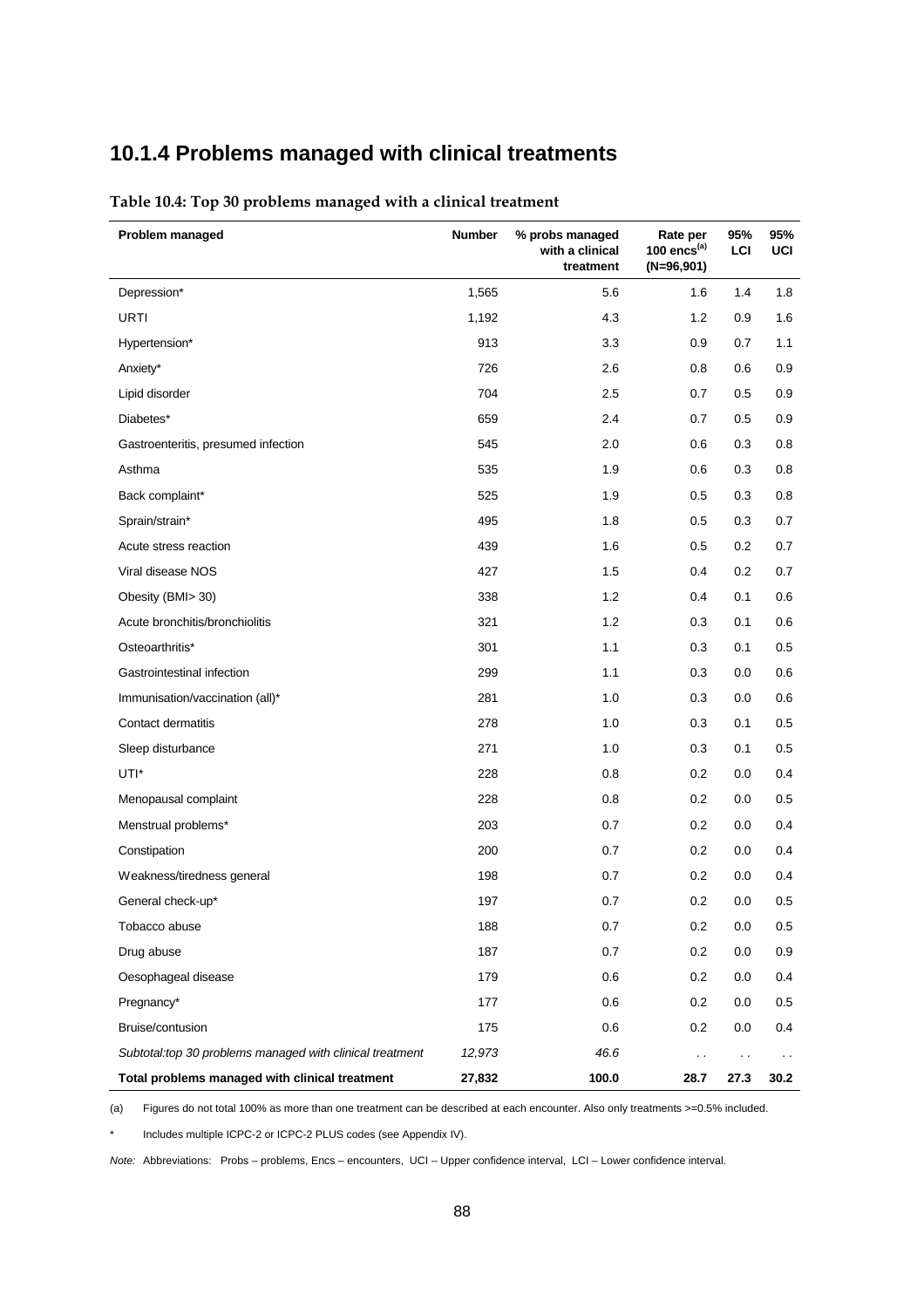## **10.1.4 Problems managed with clinical treatments**

| Problem managed                                           | <b>Number</b> | % probs managed<br>with a clinical<br>treatment | Rate per<br>100 encs $(a)$<br>$(N=96,901)$ | 95%<br>LCI | 95%<br>UCI           |
|-----------------------------------------------------------|---------------|-------------------------------------------------|--------------------------------------------|------------|----------------------|
| Depression*                                               | 1,565         | 5.6                                             | 1.6                                        | 1.4        | 1.8                  |
| URTI                                                      | 1,192         | 4.3                                             | 1.2                                        | 0.9        | 1.6                  |
| Hypertension*                                             | 913           | 3.3                                             | 0.9                                        | 0.7        | 1.1                  |
| Anxiety*                                                  | 726           | 2.6                                             | 0.8                                        | 0.6        | 0.9                  |
| Lipid disorder                                            | 704           | 2.5                                             | 0.7                                        | 0.5        | 0.9                  |
| Diabetes*                                                 | 659           | 2.4                                             | 0.7                                        | 0.5        | 0.9                  |
| Gastroenteritis, presumed infection                       | 545           | 2.0                                             | 0.6                                        | 0.3        | 0.8                  |
| Asthma                                                    | 535           | 1.9                                             | 0.6                                        | 0.3        | 0.8                  |
| Back complaint*                                           | 525           | 1.9                                             | 0.5                                        | 0.3        | 0.8                  |
| Sprain/strain*                                            | 495           | 1.8                                             | 0.5                                        | 0.3        | 0.7                  |
| Acute stress reaction                                     | 439           | 1.6                                             | 0.5                                        | 0.2        | 0.7                  |
| Viral disease NOS                                         | 427           | 1.5                                             | 0.4                                        | 0.2        | 0.7                  |
| Obesity (BMI> 30)                                         | 338           | 1.2                                             | 0.4                                        | 0.1        | 0.6                  |
| Acute bronchitis/bronchiolitis                            | 321           | 1.2                                             | 0.3                                        | 0.1        | 0.6                  |
| Osteoarthritis*                                           | 301           | 1.1                                             | 0.3                                        | 0.1        | 0.5                  |
| Gastrointestinal infection                                | 299           | 1.1                                             | 0.3                                        | 0.0        | 0.6                  |
| Immunisation/vaccination (all)*                           | 281           | 1.0                                             | 0.3                                        | 0.0        | 0.6                  |
| Contact dermatitis                                        | 278           | 1.0                                             | 0.3                                        | 0.1        | 0.5                  |
| Sleep disturbance                                         | 271           | 1.0                                             | 0.3                                        | 0.1        | 0.5                  |
| UTI*                                                      | 228           | 0.8                                             | 0.2                                        | 0.0        | 0.4                  |
| Menopausal complaint                                      | 228           | 0.8                                             | $0.2\,$                                    | 0.0        | 0.5                  |
| Menstrual problems*                                       | 203           | 0.7                                             | 0.2                                        | 0.0        | 0.4                  |
| Constipation                                              | 200           | 0.7                                             | 0.2                                        | 0.0        | 0.4                  |
| Weakness/tiredness general                                | 198           | 0.7                                             | 0.2                                        | 0.0        | 0.4                  |
| General check-up*                                         | 197           | 0.7                                             | 0.2                                        | 0.0        | 0.5                  |
| Tobacco abuse                                             | 188           | 0.7                                             | $0.2\,$                                    | 0.0        | 0.5                  |
| Drug abuse                                                | 187           | 0.7                                             | 0.2                                        | 0.0        | 0.9                  |
| Oesophageal disease                                       | 179           | 0.6                                             | 0.2                                        | 0.0        | 0.4                  |
| Pregnancy*                                                | 177           | 0.6                                             | 0.2                                        | 0.0        | 0.5                  |
| Bruise/contusion                                          | 175           | 0.6                                             | 0.2                                        | 0.0        | 0.4                  |
| Subtotal: top 30 problems managed with clinical treatment | 12,973        | 46.6                                            | $\ddot{\phantom{0}}$                       |            | $\ddot{\phantom{0}}$ |
| Total problems managed with clinical treatment            | 27,832        | 100.0                                           | 28.7                                       | 27.3       | 30.2                 |

**Table 10.4: Top 30 problems managed with a clinical treatment**

(a) Figures do not total 100% as more than one treatment can be described at each encounter. Also only treatments >=0.5% included.

Includes multiple ICPC-2 or ICPC-2 PLUS codes (see Appendix IV).

*Note:* Abbreviations: Probs – problems, Encs – encounters, UCI – Upper confidence interval, LCI – Lower confidence interval.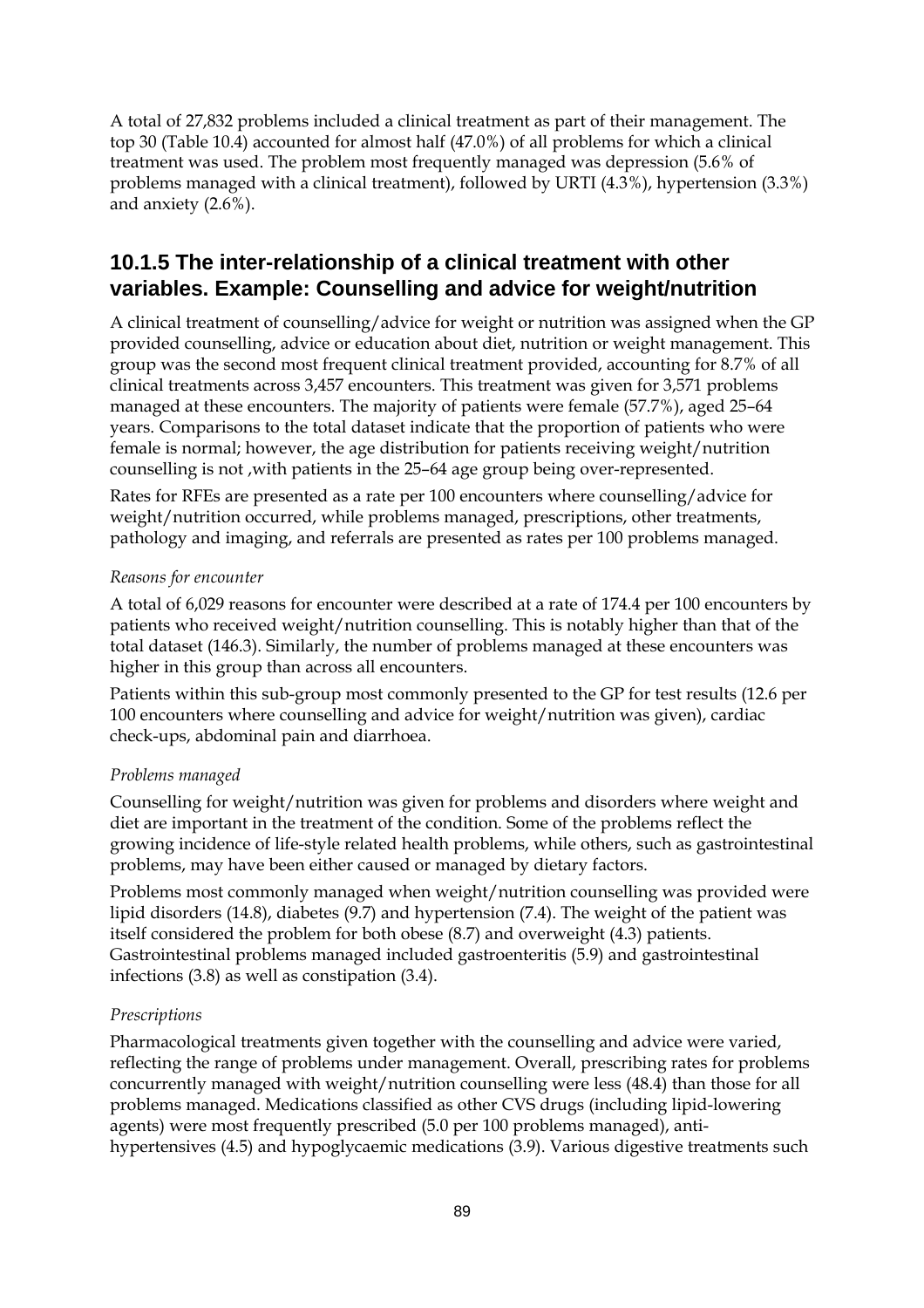A total of 27,832 problems included a clinical treatment as part of their management. The top 30 (Table 10.4) accounted for almost half (47.0%) of all problems for which a clinical treatment was used. The problem most frequently managed was depression (5.6% of problems managed with a clinical treatment), followed by URTI (4.3%), hypertension (3.3%) and anxiety (2.6%).

### **10.1.5 The inter-relationship of a clinical treatment with other variables. Example: Counselling and advice for weight/nutrition**

A clinical treatment of counselling/advice for weight or nutrition was assigned when the GP provided counselling, advice or education about diet, nutrition or weight management. This group was the second most frequent clinical treatment provided, accounting for 8.7% of all clinical treatments across 3,457 encounters. This treatment was given for 3,571 problems managed at these encounters. The majority of patients were female (57.7%), aged 25–64 years. Comparisons to the total dataset indicate that the proportion of patients who were female is normal; however, the age distribution for patients receiving weight/nutrition counselling is not ,with patients in the 25–64 age group being over-represented.

Rates for RFEs are presented as a rate per 100 encounters where counselling/advice for weight/nutrition occurred, while problems managed, prescriptions, other treatments, pathology and imaging, and referrals are presented as rates per 100 problems managed.

#### *Reasons for encounter*

A total of 6,029 reasons for encounter were described at a rate of 174.4 per 100 encounters by patients who received weight/nutrition counselling. This is notably higher than that of the total dataset (146.3). Similarly, the number of problems managed at these encounters was higher in this group than across all encounters.

Patients within this sub-group most commonly presented to the GP for test results (12.6 per 100 encounters where counselling and advice for weight/nutrition was given), cardiac check-ups, abdominal pain and diarrhoea.

#### *Problems managed*

Counselling for weight/nutrition was given for problems and disorders where weight and diet are important in the treatment of the condition. Some of the problems reflect the growing incidence of life-style related health problems, while others, such as gastrointestinal problems, may have been either caused or managed by dietary factors.

Problems most commonly managed when weight/nutrition counselling was provided were lipid disorders (14.8), diabetes (9.7) and hypertension (7.4). The weight of the patient was itself considered the problem for both obese (8.7) and overweight (4.3) patients. Gastrointestinal problems managed included gastroenteritis (5.9) and gastrointestinal infections (3.8) as well as constipation (3.4).

#### *Prescriptions*

Pharmacological treatments given together with the counselling and advice were varied, reflecting the range of problems under management. Overall, prescribing rates for problems concurrently managed with weight/nutrition counselling were less (48.4) than those for all problems managed. Medications classified as other CVS drugs (including lipid-lowering agents) were most frequently prescribed (5.0 per 100 problems managed), antihypertensives (4.5) and hypoglycaemic medications (3.9). Various digestive treatments such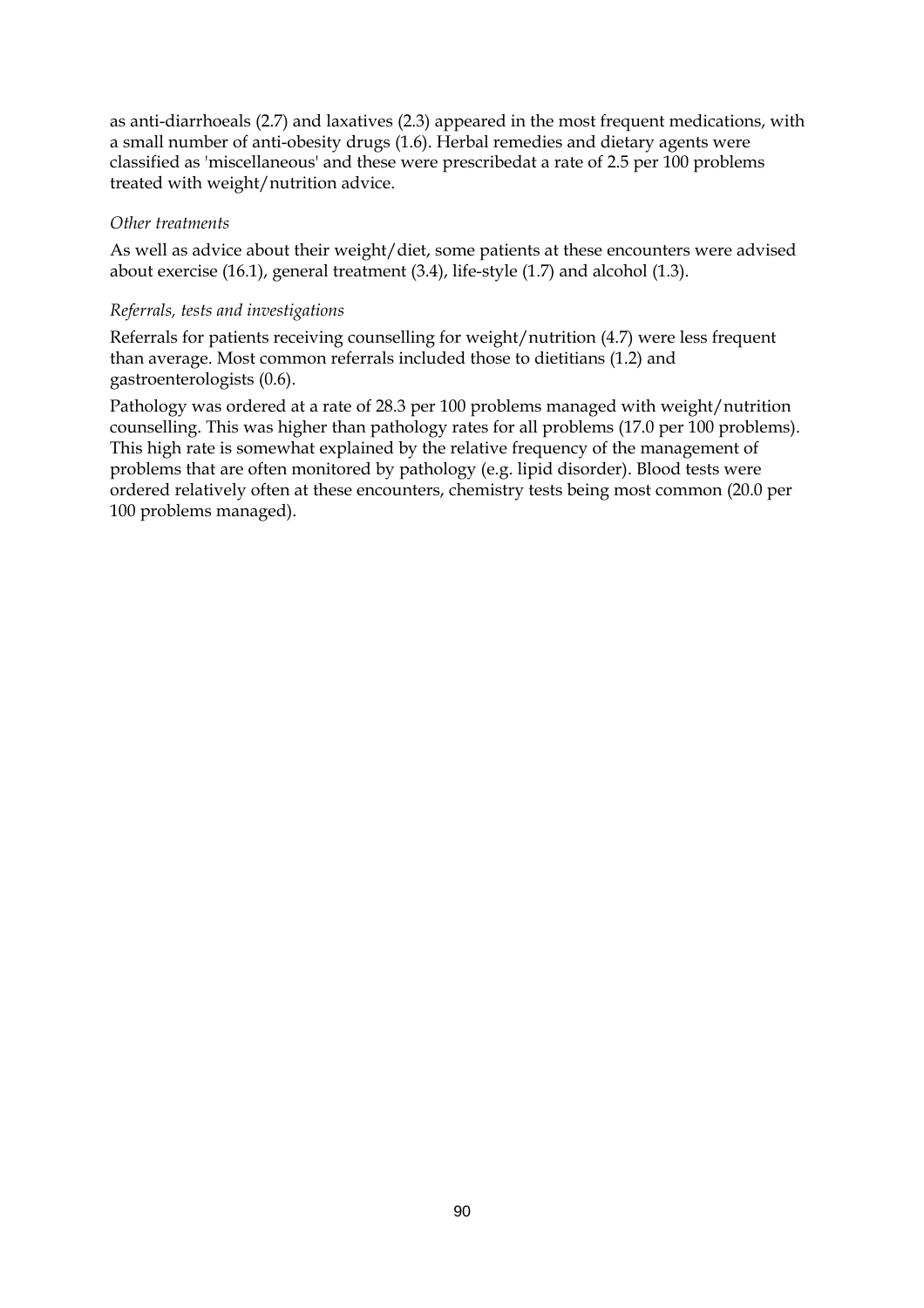as anti-diarrhoeals (2.7) and laxatives (2.3) appeared in the most frequent medications, with a small number of anti-obesity drugs (1.6). Herbal remedies and dietary agents were classified as 'miscellaneous' and these were prescribedat a rate of 2.5 per 100 problems treated with weight/nutrition advice.

#### *Other treatments*

As well as advice about their weight/diet, some patients at these encounters were advised about exercise (16.1), general treatment (3.4), life-style (1.7) and alcohol (1.3).

#### *Referrals, tests and investigations*

Referrals for patients receiving counselling for weight/nutrition (4.7) were less frequent than average. Most common referrals included those to dietitians (1.2) and gastroenterologists (0.6).

Pathology was ordered at a rate of 28.3 per 100 problems managed with weight/nutrition counselling. This was higher than pathology rates for all problems (17.0 per 100 problems). This high rate is somewhat explained by the relative frequency of the management of problems that are often monitored by pathology (e.g. lipid disorder). Blood tests were ordered relatively often at these encounters, chemistry tests being most common (20.0 per 100 problems managed).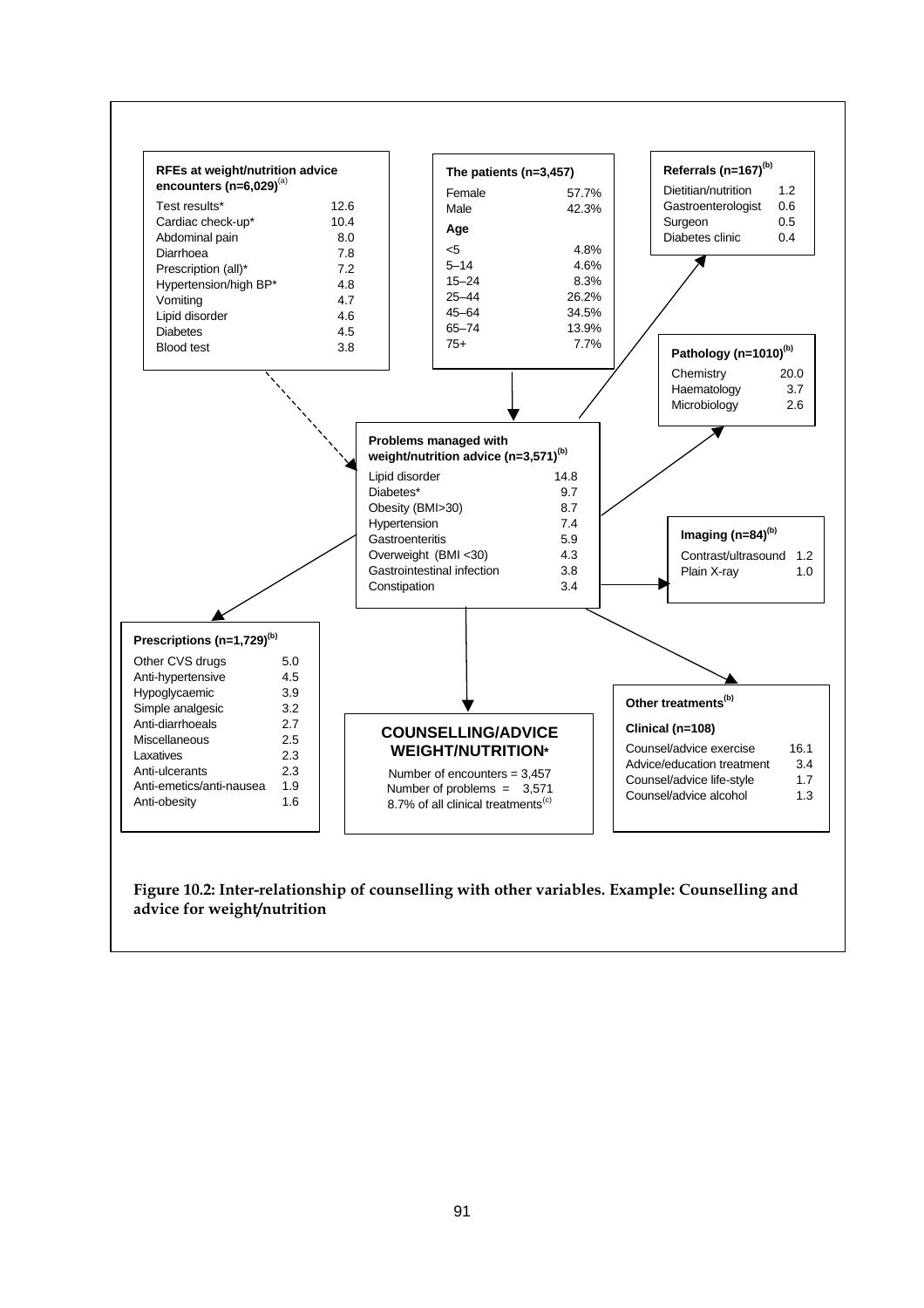

**Figure 10.2: Inter-relationship of counselling with other variables. Example: Counselling and advice for weight/nutrition**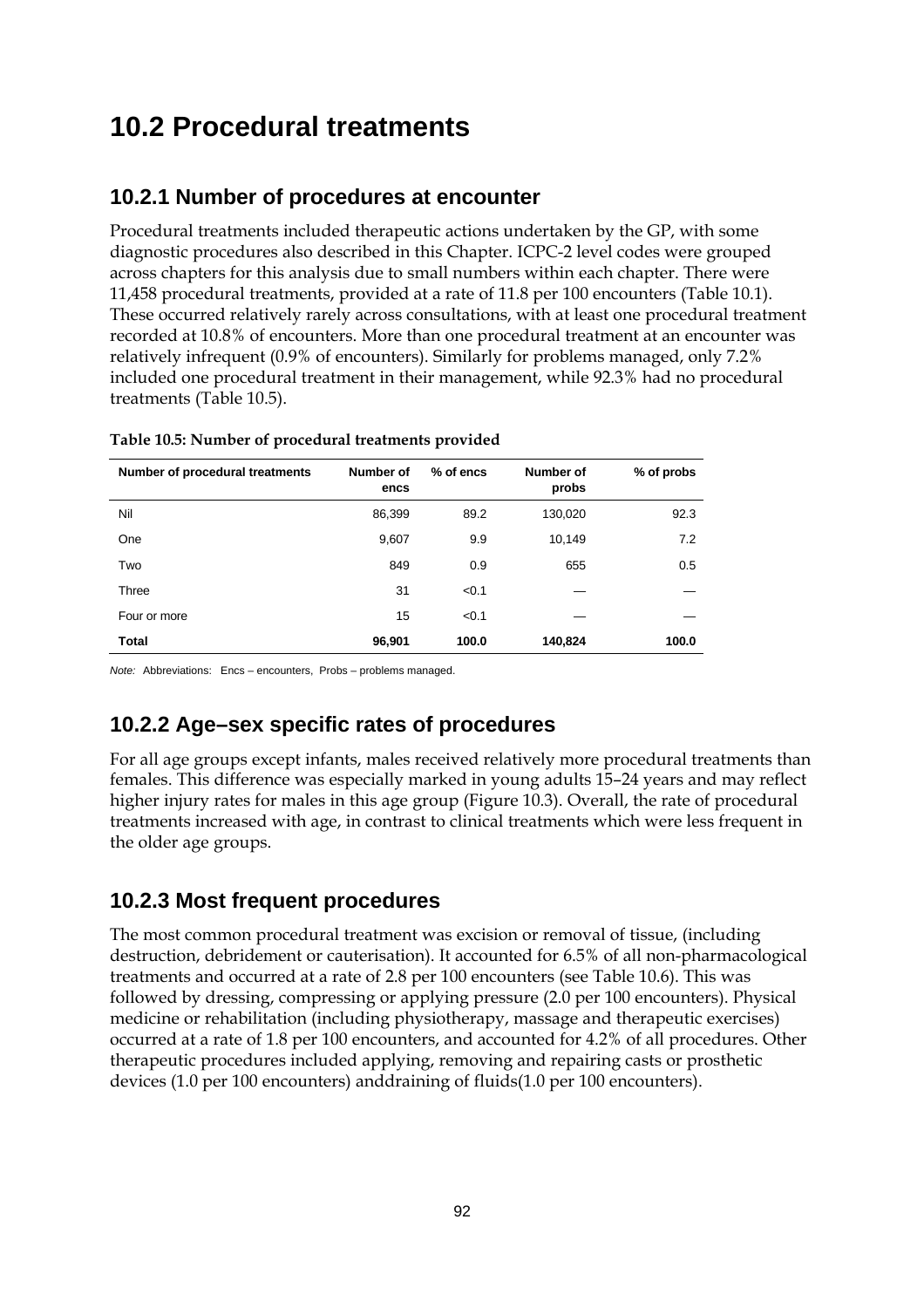## **10.2 Procedural treatments**

## **10.2.1 Number of procedures at encounter**

Procedural treatments included therapeutic actions undertaken by the GP, with some diagnostic procedures also described in this Chapter. ICPC-2 level codes were grouped across chapters for this analysis due to small numbers within each chapter. There were 11,458 procedural treatments, provided at a rate of 11.8 per 100 encounters (Table 10.1). These occurred relatively rarely across consultations, with at least one procedural treatment recorded at 10.8% of encounters. More than one procedural treatment at an encounter was relatively infrequent (0.9% of encounters). Similarly for problems managed, only 7.2% included one procedural treatment in their management, while 92.3% had no procedural treatments (Table 10.5).

| Number of procedural treatments | Number of<br>encs | % of encs | Number of<br>probs | % of probs |
|---------------------------------|-------------------|-----------|--------------------|------------|
| Nil                             | 86,399            | 89.2      | 130,020            | 92.3       |
| One                             | 9,607             | 9.9       | 10,149             | 7.2        |
| Two                             | 849               | 0.9       | 655                | 0.5        |
| Three                           | 31                | < 0.1     |                    |            |
| Four or more                    | 15                | < 0.1     |                    |            |
| <b>Total</b>                    | 96,901            | 100.0     | 140,824            | 100.0      |

**Table 10.5: Number of procedural treatments provided**

*Note:* Abbreviations: Encs – encounters, Probs – problems managed.

## **10.2.2 Age–sex specific rates of procedures**

For all age groups except infants, males received relatively more procedural treatments than females. This difference was especially marked in young adults 15–24 years and may reflect higher injury rates for males in this age group (Figure 10.3). Overall, the rate of procedural treatments increased with age, in contrast to clinical treatments which were less frequent in the older age groups.

## **10.2.3 Most frequent procedures**

The most common procedural treatment was excision or removal of tissue, (including destruction, debridement or cauterisation). It accounted for 6.5% of all non-pharmacological treatments and occurred at a rate of 2.8 per 100 encounters (see Table 10.6). This was followed by dressing, compressing or applying pressure (2.0 per 100 encounters). Physical medicine or rehabilitation (including physiotherapy, massage and therapeutic exercises) occurred at a rate of 1.8 per 100 encounters, and accounted for 4.2% of all procedures. Other therapeutic procedures included applying, removing and repairing casts or prosthetic devices (1.0 per 100 encounters) anddraining of fluids(1.0 per 100 encounters).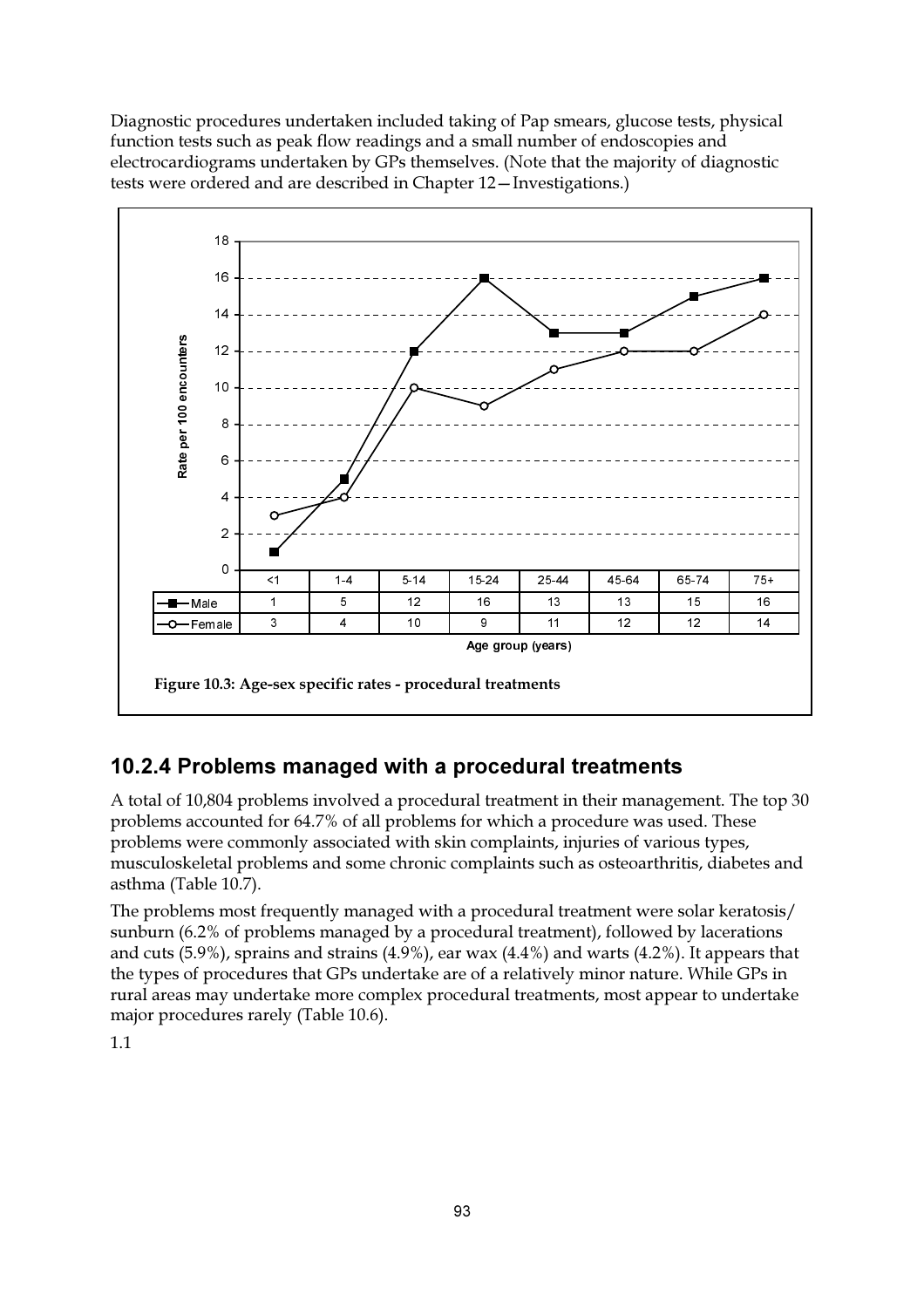Diagnostic procedures undertaken included taking of Pap smears, glucose tests, physical function tests such as peak flow readings and a small number of endoscopies and electrocardiograms undertaken by GPs themselves. (Note that the majority of diagnostic tests were ordered and are described in Chapter 12-Investigations.)



## 10.2.4 Problems managed with a procedural treatments

A total of 10,804 problems involved a procedural treatment in their management. The top 30 problems accounted for 64.7% of all problems for which a procedure was used. These problems were commonly associated with skin complaints, injuries of various types, musculoskeletal problems and some chronic complaints such as osteoarthritis, diabetes and asthma (Table 10.7).

The problems most frequently managed with a procedural treatment were solar keratosis/ sunburn (6.2% of problems managed by a procedural treatment), followed by lacerations and cuts  $(5.9\%)$ , sprains and strains  $(4.9\%)$ , ear wax  $(4.4\%)$  and warts  $(4.2\%)$ . It appears that the types of procedures that GPs undertake are of a relatively minor nature. While GPs in rural areas may undertake more complex procedural treatments, most appear to undertake major procedures rarely (Table 10.6).

 $1.1$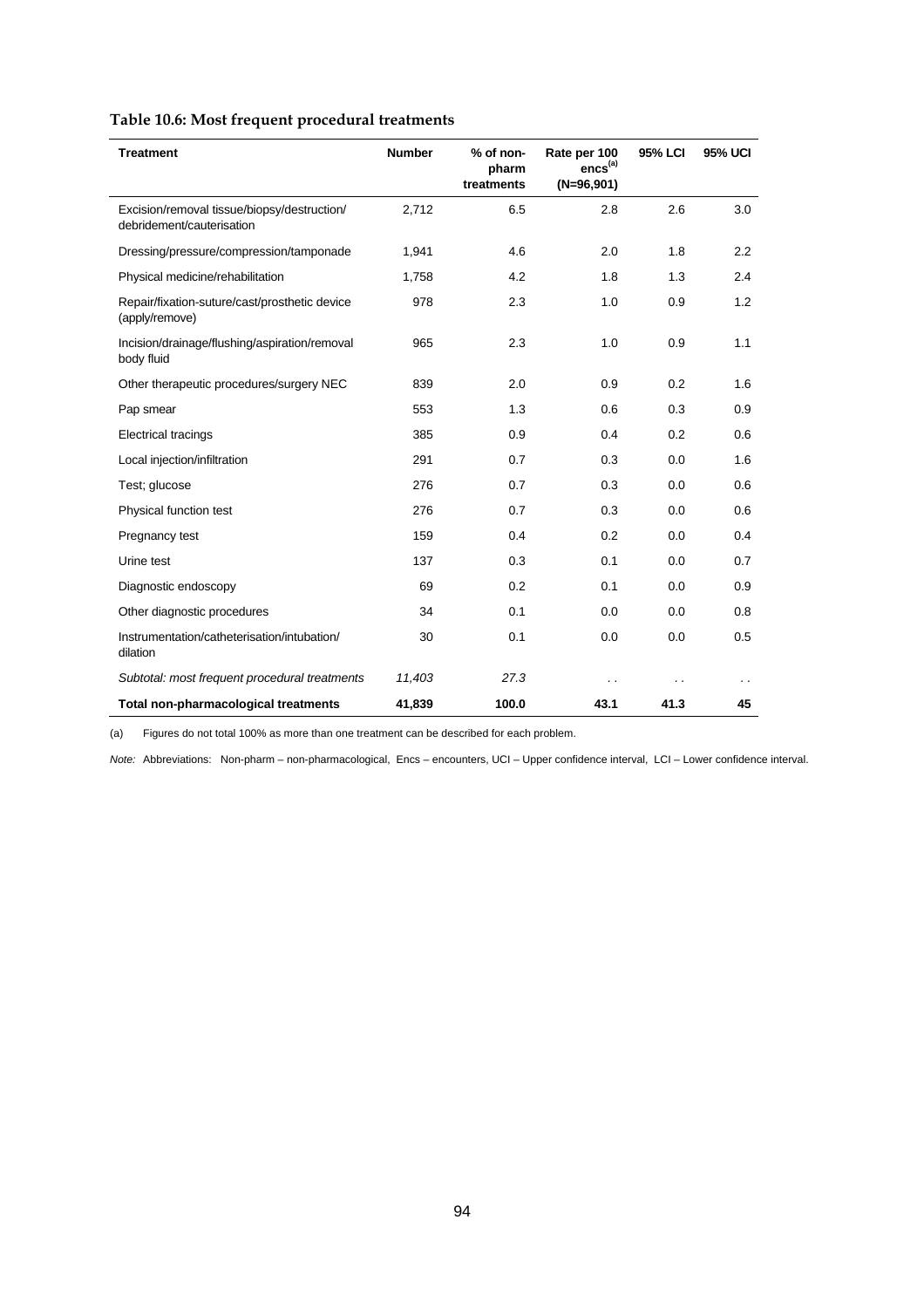| Table 10.6: Most frequent procedural treatments |  |
|-------------------------------------------------|--|
|                                                 |  |

| <b>Treatment</b>                                                         | <b>Number</b> | % of non-<br>pharm<br>treatments | Rate per 100<br>encs <sup>(a)</sup><br>$(N=96,901)$ | 95% LCI | <b>95% UCI</b> |
|--------------------------------------------------------------------------|---------------|----------------------------------|-----------------------------------------------------|---------|----------------|
| Excision/removal tissue/biopsy/destruction/<br>debridement/cauterisation | 2,712         | 6.5                              | 2.8                                                 | 2.6     | 3.0            |
| Dressing/pressure/compression/tamponade                                  | 1,941         | 4.6                              | 2.0                                                 | 1.8     | 2.2            |
| Physical medicine/rehabilitation                                         | 1,758         | 4.2                              | 1.8                                                 | 1.3     | 2.4            |
| Repair/fixation-suture/cast/prosthetic device<br>(apply/remove)          | 978           | 2.3                              | 1.0                                                 | 0.9     | 1.2            |
| Incision/drainage/flushing/aspiration/removal<br>body fluid              | 965           | 2.3                              | 1.0                                                 | 0.9     | 1.1            |
| Other therapeutic procedures/surgery NEC                                 | 839           | 2.0                              | 0.9                                                 | 0.2     | 1.6            |
| Pap smear                                                                | 553           | 1.3                              | 0.6                                                 | 0.3     | 0.9            |
| <b>Electrical tracings</b>                                               | 385           | 0.9                              | 0.4                                                 | 0.2     | 0.6            |
| Local injection/infiltration                                             | 291           | 0.7                              | 0.3                                                 | 0.0     | 1.6            |
| Test; glucose                                                            | 276           | 0.7                              | 0.3                                                 | 0.0     | 0.6            |
| Physical function test                                                   | 276           | 0.7                              | 0.3                                                 | 0.0     | 0.6            |
| Pregnancy test                                                           | 159           | 0.4                              | 0.2                                                 | 0.0     | 0.4            |
| Urine test                                                               | 137           | 0.3                              | 0.1                                                 | 0.0     | 0.7            |
| Diagnostic endoscopy                                                     | 69            | 0.2                              | 0.1                                                 | 0.0     | 0.9            |
| Other diagnostic procedures                                              | 34            | 0.1                              | 0.0                                                 | 0.0     | 0.8            |
| Instrumentation/catheterisation/intubation/<br>dilation                  | 30            | 0.1                              | 0.0                                                 | 0.0     | 0.5            |
| Subtotal: most frequent procedural treatments                            | 11,403        | 27.3                             |                                                     |         |                |
| <b>Total non-pharmacological treatments</b>                              | 41,839        | 100.0                            | 43.1                                                | 41.3    | 45             |

(a) Figures do not total 100% as more than one treatment can be described for each problem.

*Note:* Abbreviations: Non-pharm – non-pharmacological, Encs – encounters, UCI – Upper confidence interval, LCI – Lower confidence interval.